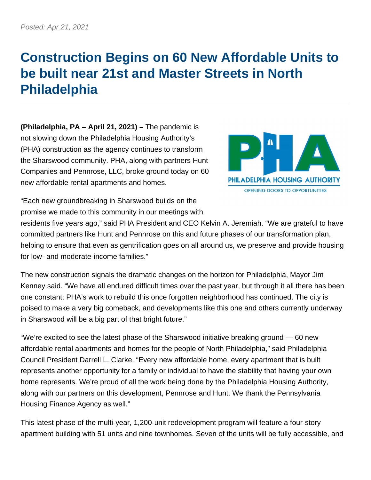## **Construction Begins on 60 New Affordable Units to be built near 21st and Master Streets in North Philadelphia**

**(Philadelphia, PA – April 21, 2021) –** The pandemic is not slowing down the Philadelphia Housing Authority's (PHA) construction as the agency continues to transform the Sharswood community. PHA, along with partners Hunt Companies and Pennrose, LLC, broke ground today on 60 new affordable rental apartments and homes.



"Each new groundbreaking in Sharswood builds on the promise we made to this community in our meetings with

residents five years ago," said PHA President and CEO Kelvin A. Jeremiah. "We are grateful to have committed partners like Hunt and Pennrose on this and future phases of our transformation plan, helping to ensure that even as gentrification goes on all around us, we preserve and provide housing for low- and moderate-income families."

The new construction signals the dramatic changes on the horizon for Philadelphia, Mayor Jim Kenney said. "We have all endured difficult times over the past year, but through it all there has been one constant: PHA's work to rebuild this once forgotten neighborhood has continued. The city is poised to make a very big comeback, and developments like this one and others currently underway in Sharswood will be a big part of that bright future."

"We're excited to see the latest phase of the Sharswood initiative breaking ground — 60 new affordable rental apartments and homes for the people of North Philadelphia," said Philadelphia Council President Darrell L. Clarke. "Every new affordable home, every apartment that is built represents another opportunity for a family or individual to have the stability that having your own home represents. We're proud of all the work being done by the Philadelphia Housing Authority, along with our partners on this development, Pennrose and Hunt. We thank the Pennsylvania Housing Finance Agency as well."

This latest phase of the multi-year, 1,200-unit redevelopment program will feature a four-story apartment building with 51 units and nine townhomes. Seven of the units will be fully accessible, and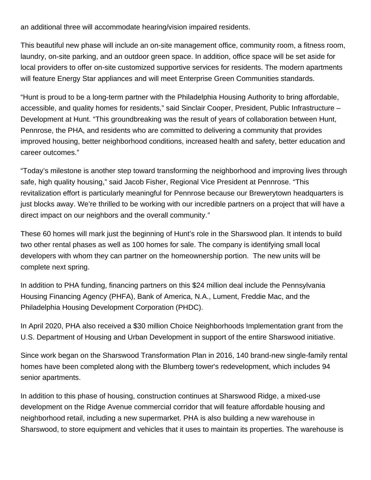an additional three will accommodate hearing/vision impaired residents.

This beautiful new phase will include an on-site management office, community room, a fitness room, laundry, on-site parking, and an outdoor green space. In addition, office space will be set aside for local providers to offer on-site customized supportive services for residents. The modern apartments will feature Energy Star appliances and will meet Enterprise Green Communities standards.

"Hunt is proud to be a long-term partner with the Philadelphia Housing Authority to bring affordable, accessible, and quality homes for residents," said Sinclair Cooper, President, Public Infrastructure – Development at Hunt. "This groundbreaking was the result of years of collaboration between Hunt, Pennrose, the PHA, and residents who are committed to delivering a community that provides improved housing, better neighborhood conditions, increased health and safety, better education and career outcomes."

"Today's milestone is another step toward transforming the neighborhood and improving lives through safe, high quality housing," said Jacob Fisher, Regional Vice President at Pennrose. "This revitalization effort is particularly meaningful for Pennrose because our Brewerytown headquarters is just blocks away. We're thrilled to be working with our incredible partners on a project that will have a direct impact on our neighbors and the overall community."

These 60 homes will mark just the beginning of Hunt's role in the Sharswood plan. It intends to build two other rental phases as well as 100 homes for sale. The company is identifying small local developers with whom they can partner on the homeownership portion. The new units will be complete next spring.

In addition to PHA funding, financing partners on this \$24 million deal include the Pennsylvania Housing Financing Agency (PHFA), Bank of America, N.A., Lument, Freddie Mac, and the Philadelphia Housing Development Corporation (PHDC).

In April 2020, PHA also received a \$30 million Choice Neighborhoods Implementation grant from the U.S. Department of Housing and Urban Development in support of the entire Sharswood initiative.

Since work began on the Sharswood Transformation Plan in 2016, 140 brand-new single-family rental homes have been completed along with the Blumberg tower's redevelopment, which includes 94 senior apartments.

In addition to this phase of housing, construction continues at Sharswood Ridge, a mixed-use development on the Ridge Avenue commercial corridor that will feature affordable housing and neighborhood retail, including a new supermarket. PHA is also building a new warehouse in Sharswood, to store equipment and vehicles that it uses to maintain its properties. The warehouse is